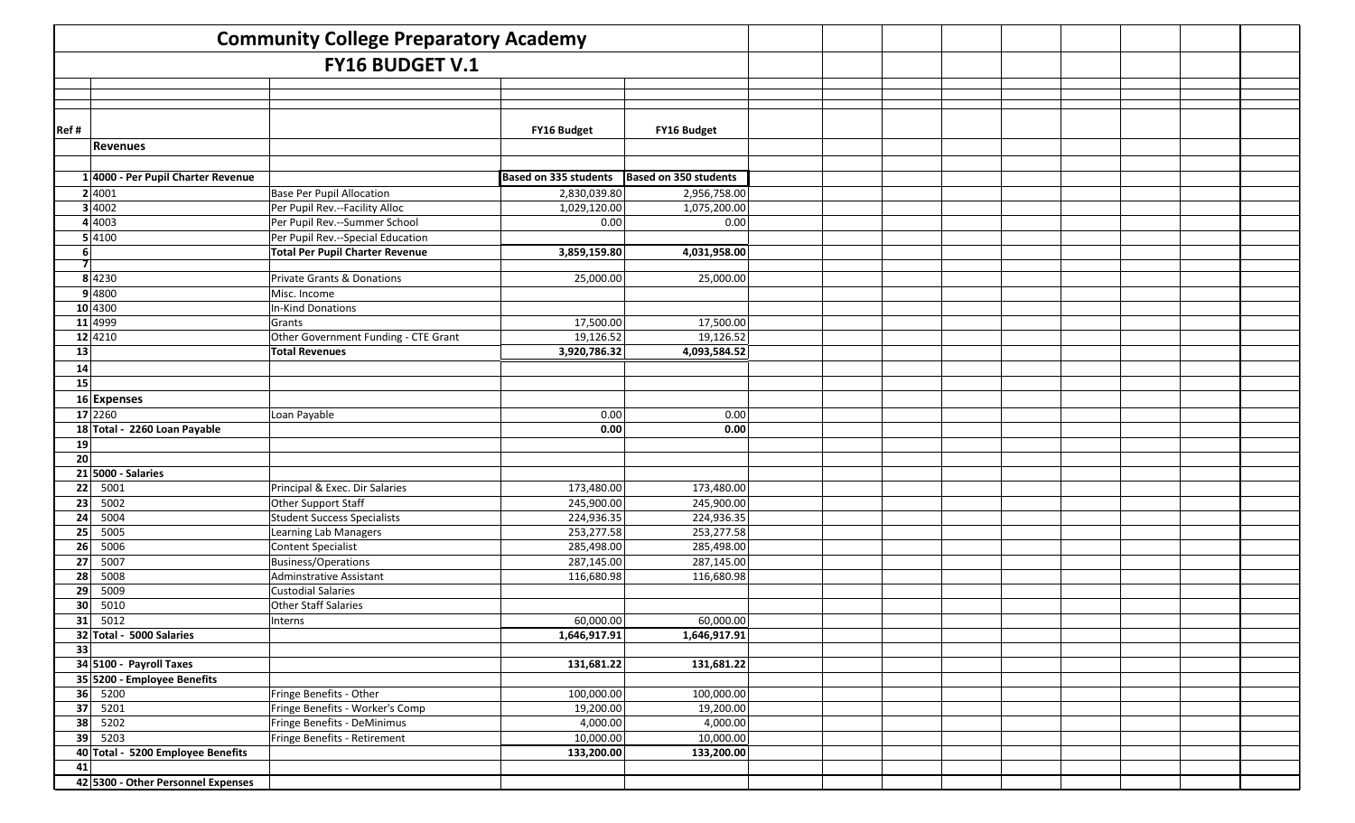| <b>Community College Preparatory Academy</b> |                                    |                                        |                              |                              |  |  |  |  |
|----------------------------------------------|------------------------------------|----------------------------------------|------------------------------|------------------------------|--|--|--|--|
| <b>FY16 BUDGET V.1</b>                       |                                    |                                        |                              |                              |  |  |  |  |
|                                              |                                    |                                        |                              |                              |  |  |  |  |
|                                              |                                    |                                        |                              |                              |  |  |  |  |
|                                              |                                    |                                        |                              |                              |  |  |  |  |
| Ref#                                         |                                    |                                        | FY16 Budget                  | FY16 Budget                  |  |  |  |  |
|                                              | <b>Revenues</b>                    |                                        |                              |                              |  |  |  |  |
|                                              |                                    |                                        |                              |                              |  |  |  |  |
|                                              | 1 4000 - Per Pupil Charter Revenue |                                        | <b>Based on 335 students</b> | <b>Based on 350 students</b> |  |  |  |  |
|                                              | 2 4001                             | Base Per Pupil Allocation              | 2,830,039.80                 | 2,956,758.00                 |  |  |  |  |
|                                              | 3 4002                             | Per Pupil Rev.--Facility Alloc         | 1,029,120.00                 | 1,075,200.00                 |  |  |  |  |
|                                              | 4 4003                             | Per Pupil Rev.--Summer School          | 0.00                         | 0.00                         |  |  |  |  |
|                                              | 5 4100                             | Per Pupil Rev.--Special Education      |                              |                              |  |  |  |  |
| 6 <sup>1</sup>                               |                                    | <b>Total Per Pupil Charter Revenue</b> | 3,859,159.80                 | 4,031,958.00                 |  |  |  |  |
| 71                                           |                                    |                                        |                              |                              |  |  |  |  |
|                                              | 8 4230                             | <b>Private Grants &amp; Donations</b>  | 25,000.00                    | 25,000.00                    |  |  |  |  |
|                                              | 9 4800                             | Misc. Income                           |                              |                              |  |  |  |  |
|                                              | 10 4300                            | <b>In-Kind Donations</b>               |                              |                              |  |  |  |  |
|                                              | 11 4999                            | Grants                                 | 17,500.00                    | 17,500.00                    |  |  |  |  |
|                                              | 12 4210                            | Other Government Funding - CTE Grant   | 19,126.52                    | 19,126.52                    |  |  |  |  |
| 13                                           |                                    | <b>Total Revenues</b>                  | 3,920,786.32                 | 4,093,584.52                 |  |  |  |  |
| 14                                           |                                    |                                        |                              |                              |  |  |  |  |
| 15                                           |                                    |                                        |                              |                              |  |  |  |  |
|                                              | 16 Expenses                        |                                        |                              |                              |  |  |  |  |
|                                              | 17 2260                            | Loan Payable                           | 0.00                         | 0.00                         |  |  |  |  |
|                                              | 18 Total - 2260 Loan Payable       |                                        | 0.00                         | 0.00                         |  |  |  |  |
| 19                                           |                                    |                                        |                              |                              |  |  |  |  |
| $\overline{20}$                              |                                    |                                        |                              |                              |  |  |  |  |
|                                              | $21$ 5000 - Salaries               |                                        |                              |                              |  |  |  |  |
| 22                                           | 5001                               | Principal & Exec. Dir Salaries         | 173,480.00                   | 173,480.00                   |  |  |  |  |
| 23                                           | 5002                               | Other Support Staff                    | 245,900.00                   | 245,900.00                   |  |  |  |  |
| 24                                           | 5004                               | Student Success Specialists            | 224,936.35                   | 224,936.35                   |  |  |  |  |
| 25                                           | 5005                               | Learning Lab Managers                  | 253,277.58                   | 253,277.58                   |  |  |  |  |
| 26                                           | 5006                               | <b>Content Specialist</b>              | 285,498.00                   | 285,498.00                   |  |  |  |  |
| 27                                           | 5007                               | Business/Operations                    | 287,145.00                   | 287,145.00                   |  |  |  |  |
| 28                                           | 5008                               | Adminstrative Assistant                | 116,680.98                   | 116,680.98                   |  |  |  |  |
| 29                                           | 5009                               | <b>Custodial Salaries</b>              |                              |                              |  |  |  |  |
| 30                                           | 5010                               | <b>Other Staff Salaries</b>            |                              |                              |  |  |  |  |
| 31                                           | 5012                               | Interns                                | 60,000.00                    | 60,000.00                    |  |  |  |  |
|                                              | 32 Total - 5000 Salaries           |                                        | 1,646,917.91                 | 1,646,917.91                 |  |  |  |  |
| 33                                           |                                    |                                        |                              |                              |  |  |  |  |
|                                              | 34 5100 - Payroll Taxes            |                                        | 131,681.22                   | 131,681.22                   |  |  |  |  |
|                                              | 35 5200 - Employee Benefits        |                                        |                              |                              |  |  |  |  |
|                                              | 36   5200                          | Fringe Benefits - Other                | 100,000.00                   | 100,000.00                   |  |  |  |  |
|                                              | $37 \mid 5201$                     | Fringe Benefits - Worker's Comp        | 19,200.00                    | 19,200.00                    |  |  |  |  |
|                                              | $38 \mid 5202$                     | Fringe Benefits - DeMinimus            | 4,000.00                     | 4,000.00                     |  |  |  |  |
|                                              | 39 5203                            | Fringe Benefits - Retirement           | 10,000.00                    | 10,000.00                    |  |  |  |  |
|                                              | 40 Total - 5200 Employee Benefits  |                                        | 133,200.00                   | 133,200.00                   |  |  |  |  |
| 41                                           |                                    |                                        |                              |                              |  |  |  |  |
|                                              | 42 5300 - Other Personnel Expenses |                                        |                              |                              |  |  |  |  |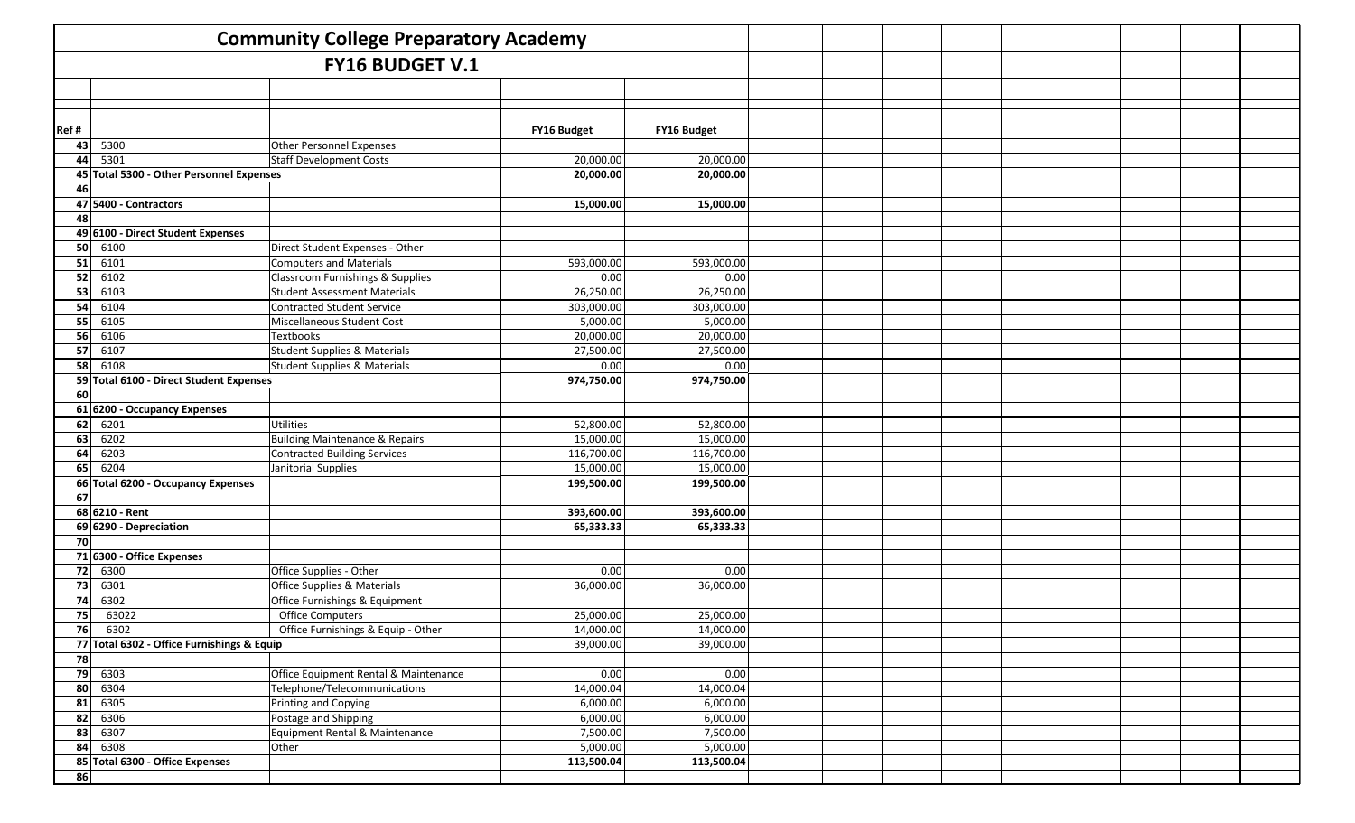| <b>Community College Preparatory Academy</b>      |                                            |                                           |             |             |  |  |  |  |
|---------------------------------------------------|--------------------------------------------|-------------------------------------------|-------------|-------------|--|--|--|--|
|                                                   |                                            | <b>FY16 BUDGET V.1</b>                    |             |             |  |  |  |  |
|                                                   |                                            |                                           |             |             |  |  |  |  |
|                                                   |                                            |                                           |             |             |  |  |  |  |
|                                                   |                                            |                                           |             |             |  |  |  |  |
| Ref#                                              |                                            |                                           | FY16 Budget | FY16 Budget |  |  |  |  |
| 43                                                | 5300                                       | Other Personnel Expenses                  |             |             |  |  |  |  |
| 44                                                | 5301                                       | <b>Staff Development Costs</b>            | 20,000.00   | 20,000.00   |  |  |  |  |
|                                                   | 45 Total 5300 - Other Personnel Expenses   |                                           | 20,000.00   | 20,000.00   |  |  |  |  |
| 46                                                |                                            |                                           |             |             |  |  |  |  |
|                                                   | 47 5400 - Contractors                      |                                           | 15,000.00   | 15,000.00   |  |  |  |  |
| 48                                                |                                            |                                           |             |             |  |  |  |  |
| 49                                                | 6100 - Direct Student Expenses             |                                           |             |             |  |  |  |  |
| 50                                                | 6100                                       | Direct Student Expenses - Other           |             |             |  |  |  |  |
| 51                                                | 6101                                       | <b>Computers and Materials</b>            | 593,000.00  | 593,000.00  |  |  |  |  |
| 52                                                | 6102                                       | Classroom Furnishings & Supplies          | 0.00        | 0.00        |  |  |  |  |
| 53                                                | 6103                                       | <b>Student Assessment Materials</b>       | 26,250.00   | 26,250.00   |  |  |  |  |
| 54                                                | 6104                                       | <b>Contracted Student Service</b>         | 303,000.00  | 303,000.00  |  |  |  |  |
| 55                                                | 6105                                       | Miscellaneous Student Cost                | 5,000.00    | 5,000.00    |  |  |  |  |
| 56                                                | 6106                                       | Textbooks                                 | 20,000.00   | 20,000.00   |  |  |  |  |
| 57                                                | 6107                                       | Student Supplies & Materials              | 27,500.00   | 27,500.00   |  |  |  |  |
| 6108<br>58<br>Student Supplies & Materials        |                                            | 0.00                                      | 0.00        |             |  |  |  |  |
| <b>Total 6100 - Direct Student Expenses</b><br>59 |                                            | 974,750.00                                | 974,750.00  |             |  |  |  |  |
| 60                                                |                                            |                                           |             |             |  |  |  |  |
| 61                                                | 6200 - Occupancy Expenses                  |                                           |             |             |  |  |  |  |
| 62                                                | 6201                                       | Utilities                                 | 52,800.00   | 52,800.00   |  |  |  |  |
| 63                                                | 6202                                       | <b>Building Maintenance &amp; Repairs</b> | 15,000.00   | 15,000.00   |  |  |  |  |
| 64                                                | 6203                                       | <b>Contracted Building Services</b>       | 116,700.00  | 116,700.00  |  |  |  |  |
| 65                                                | 6204                                       | Janitorial Supplies                       | 15,000.00   | 15,000.00   |  |  |  |  |
| 66                                                | <b>Total 6200 - Occupancy Expenses</b>     |                                           | 199,500.00  | 199,500.00  |  |  |  |  |
| 67                                                | 68 6210 - Rent                             |                                           | 393,600.00  | 393,600.00  |  |  |  |  |
|                                                   |                                            |                                           |             |             |  |  |  |  |
| 70                                                | 69 6290 - Depreciation                     |                                           | 65,333.33   | 65,333.33   |  |  |  |  |
|                                                   | 71 6300 - Office Expenses                  |                                           |             |             |  |  |  |  |
| 72                                                | 6300                                       | Office Supplies - Other                   | 0.00        | 0.00        |  |  |  |  |
| 73                                                | 6301                                       | Office Supplies & Materials               | 36,000.00   | 36,000.00   |  |  |  |  |
| 74                                                | 6302                                       | Office Furnishings & Equipment            |             |             |  |  |  |  |
| 75                                                | 63022                                      | <b>Office Computers</b>                   | 25,000.00   | 25,000.00   |  |  |  |  |
| 76                                                | 6302                                       | Office Furnishings & Equip - Other        | 14,000.00   | 14,000.00   |  |  |  |  |
|                                                   | 77 Total 6302 - Office Furnishings & Equip |                                           | 39,000.00   | 39,000.00   |  |  |  |  |
| 78                                                |                                            |                                           |             |             |  |  |  |  |
| 79                                                | 6303                                       | Office Equipment Rental & Maintenance     | 0.00        | 0.00        |  |  |  |  |
| 80                                                | 6304                                       | Telephone/Telecommunications              | 14,000.04   | 14,000.04   |  |  |  |  |
| 81                                                | 6305                                       | Printing and Copying                      | 6,000.00    | 6,000.00    |  |  |  |  |
| 82                                                | 6306                                       | Postage and Shipping                      | 6,000.00    | 6,000.00    |  |  |  |  |
| 83                                                | 6307                                       | Equipment Rental & Maintenance            | 7,500.00    | 7,500.00    |  |  |  |  |
| 84                                                | 6308                                       | Other                                     | 5,000.00    | 5,000.00    |  |  |  |  |
|                                                   | 85 Total 6300 - Office Expenses            |                                           | 113,500.04  | 113,500.04  |  |  |  |  |
| 86                                                |                                            |                                           |             |             |  |  |  |  |
|                                                   |                                            |                                           |             |             |  |  |  |  |